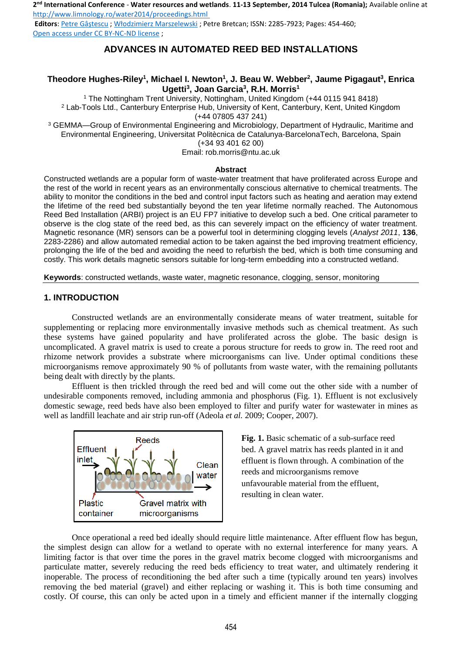**2 nd International Conference** - **Water resources and wetlands**. **11-13 September, 2014 Tulcea (Romania);** Available online at http://www.limnology.ro/water2014/proceedings.html

**Editors**: Petre Gâştescu ; Włodzimierz Marszelewski ; Petre Bretcan; ISSN: 2285-7923; Pages: 454-460; Open access under CC BY-NC-ND license ;

# **ADVANCES IN AUTOMATED REED BED INSTALLATIONS**

# **Theodore Hughes-Riley<sup>1</sup> , Michael I. Newton<sup>1</sup> , J. Beau W. Webber<sup>2</sup> , Jaume Pigagaut<sup>3</sup> , Enrica Ugetti<sup>3</sup> , Joan Garcia<sup>3</sup> , R.H. Morris<sup>1</sup>**

1 The Nottingham Trent University, Nottingham, United Kingdom (+44 0115 941 8418) 2 Lab-Tools Ltd., Canterbury Enterprise Hub, University of Kent, Canterbury, Kent, United Kingdom (+44 07805 437 241)

3 GEMMA—Group of Environmental Engineering and Microbiology, Department of Hydraulic, Maritime and Environmental Engineering, Universitat Politècnica de Catalunya-BarcelonaTech, Barcelona, Spain (+34 93 401 62 00)

Email: rob.morris@ntu.ac.uk

#### **Abstract**

Constructed wetlands are a popular form of waste-water treatment that have proliferated across Europe and the rest of the world in recent years as an environmentally conscious alternative to chemical treatments. The ability to monitor the conditions in the bed and control input factors such as heating and aeration may extend the lifetime of the reed bed substantially beyond the ten year lifetime normally reached. The Autonomous Reed Bed Installation (ARBI) project is an EU FP7 initiative to develop such a bed. One critical parameter to observe is the clog state of the reed bed, as this can severely impact on the efficiency of water treatment. Magnetic resonance (MR) sensors can be a powerful tool in determining clogging levels (*Analyst 2011*, **136**, 2283-2286) and allow automated remedial action to be taken against the bed improving treatment efficiency, prolonging the life of the bed and avoiding the need to refurbish the bed, which is both time consuming and costly. This work details magnetic sensors suitable for long-term embedding into a constructed wetland.

**Keywords**: constructed wetlands, waste water, magnetic resonance, clogging, sensor, monitoring

#### **1. INTRODUCTION**

Constructed wetlands are an environmentally considerate means of water treatment, suitable for supplementing or replacing more environmentally invasive methods such as chemical treatment. As such these systems have gained popularity and have proliferated across the globe. The basic design is uncomplicated. A gravel matrix is used to create a porous structure for reeds to grow in. The reed root and rhizome network provides a substrate where microorganisms can live. Under optimal conditions these microorganisms remove approximately 90 % of pollutants from waste water, with the remaining pollutants being dealt with directly by the plants.

Effluent is then trickled through the reed bed and will come out the other side with a number of undesirable components removed, including ammonia and phosphorus (Fig. 1). Effluent is not exclusively domestic sewage, reed beds have also been employed to filter and purify water for wastewater in mines as well as landfill leachate and air strip run-off (Adeola *et al.* 2009; Cooper, 2007).



**Fig. 1.** Basic schematic of a sub-surface reed bed. A gravel matrix has reeds planted in it and effluent is flown through. A combination of the reeds and microorganisms remove unfavourable material from the effluent, resulting in clean water.

Once operational a reed bed ideally should require little maintenance. After effluent flow has begun, the simplest design can allow for a wetland to operate with no external interference for many years. A limiting factor is that over time the pores in the gravel matrix become clogged with microorganisms and particulate matter, severely reducing the reed beds efficiency to treat water, and ultimately rendering it inoperable. The process of reconditioning the bed after such a time (typically around ten years) involves removing the bed material (gravel) and either replacing or washing it. This is both time consuming and costly. Of course, this can only be acted upon in a timely and efficient manner if the internally clogging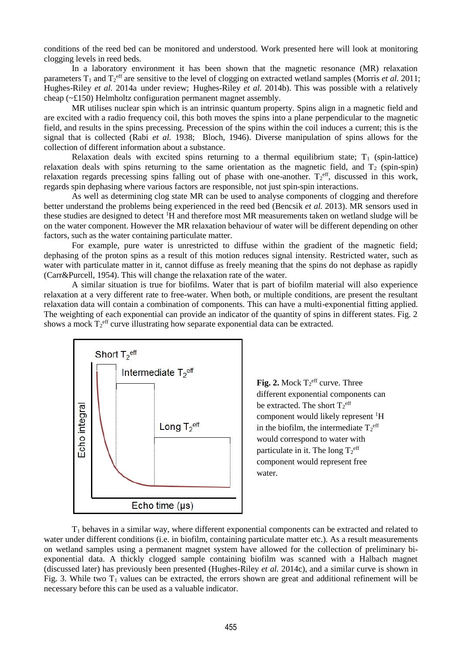conditions of the reed bed can be monitored and understood. Work presented here will look at monitoring clogging levels in reed beds.

In a laboratory environment it has been shown that the magnetic resonance (MR) relaxation parameters  $T_1$  and  $T_2$ <sup>eff</sup> are sensitive to the level of clogging on extracted wetland samples (Morris *et al.* 2011; Hughes-Riley *et al.* 2014a under review; Hughes-Riley *et al.* 2014b). This was possible with a relatively cheap (~£150) Helmholtz configuration permanent magnet assembly.

MR utilises nuclear spin which is an intrinsic quantum property. Spins align in a magnetic field and are excited with a radio frequency coil, this both moves the spins into a plane perpendicular to the magnetic field, and results in the spins precessing. Precession of the spins within the coil induces a current; this is the signal that is collected (Rabi *et al.* 1938; Bloch, 1946). Diverse manipulation of spins allows for the collection of different information about a substance.

Relaxation deals with excited spins returning to a thermal equilibrium state;  $T_1$  (spin-lattice) relaxation deals with spins returning to the same orientation as the magnetic field, and  $T_2$  (spin-spin) relaxation regards precessing spins falling out of phase with one-another.  $T_2^{\text{eff}}$ , discussed in this work, regards spin dephasing where various factors are responsible, not just spin-spin interactions.

As well as determining clog state MR can be used to analyse components of clogging and therefore better understand the problems being experienced in the reed bed (Bencsik *et al.* 2013). MR sensors used in these studies are designed to detect <sup>1</sup>H and therefore most MR measurements taken on wetland sludge will be on the water component. However the MR relaxation behaviour of water will be different depending on other factors, such as the water containing particulate matter.

For example, pure water is unrestricted to diffuse within the gradient of the magnetic field; dephasing of the proton spins as a result of this motion reduces signal intensity. Restricted water, such as water with particulate matter in it, cannot diffuse as freely meaning that the spins do not dephase as rapidly (Carr&Purcell, 1954). This will change the relaxation rate of the water.

A similar situation is true for biofilms. Water that is part of biofilm material will also experience relaxation at a very different rate to free-water. When both, or multiple conditions, are present the resultant relaxation data will contain a combination of components. This can have a multi-exponential fitting applied. The weighting of each exponential can provide an indicator of the quantity of spins in different states. Fig. 2 shows a mock  $T_2^{\text{eff}}$  curve illustrating how separate exponential data can be extracted.



Fig. 2. Mock  $T_2^{\text{eff}}$  curve. Three different exponential components can be extracted. The short  $T_2^{\text{eff}}$ component would likely represent <sup>1</sup>H in the biofilm, the intermediate  $T_2^{\text{eff}}$ would correspond to water with particulate in it. The long  $T_2^{\text{eff}}$ component would represent free water.

 $T_1$  behaves in a similar way, where different exponential components can be extracted and related to water under different conditions (i.e. in biofilm, containing particulate matter etc.). As a result measurements on wetland samples using a permanent magnet system have allowed for the collection of preliminary biexponential data. A thickly clogged sample containing biofilm was scanned with a Halbach magnet (discussed later) has previously been presented (Hughes-Riley *et al.* 2014c), and a similar curve is shown in Fig. 3. While two  $T_1$  values can be extracted, the errors shown are great and additional refinement will be necessary before this can be used as a valuable indicator.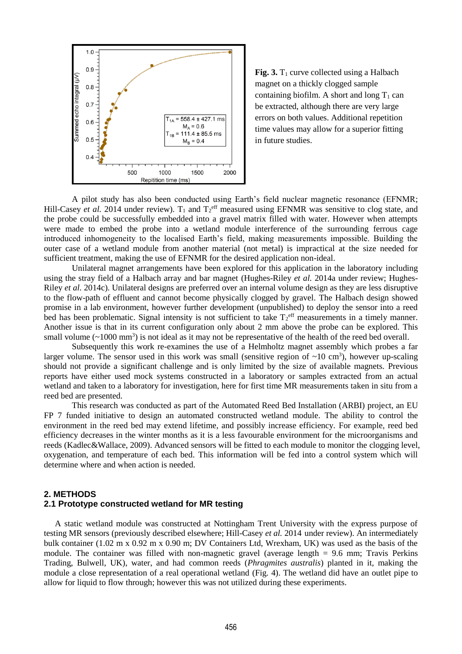

**Fig. 3.**  $T_1$  curve collected using a Halbach magnet on a thickly clogged sample containing biofilm. A short and long  $T_1$  can be extracted, although there are very large errors on both values. Additional repetition time values may allow for a superior fitting in future studies.

A pilot study has also been conducted using Earth's field nuclear magnetic resonance (EFNMR; Hill-Casey *et al.* 2014 under review).  $T_1$  and  $T_2^{\text{eff}}$  measured using EFNMR was sensitive to clog state, and the probe could be successfully embedded into a gravel matrix filled with water. However when attempts were made to embed the probe into a wetland module interference of the surrounding ferrous cage introduced inhomogeneity to the localised Earth's field, making measurements impossible. Building the outer case of a wetland module from another material (not metal) is impractical at the size needed for sufficient treatment, making the use of EFNMR for the desired application non-ideal.

Unilateral magnet arrangements have been explored for this application in the laboratory including using the stray field of a Halbach array and bar magnet (Hughes-Riley *et al.* 2014a under review; Hughes-Riley *et al.* 2014c). Unilateral designs are preferred over an internal volume design as they are less disruptive to the flow-path of effluent and cannot become physically clogged by gravel. The Halbach design showed promise in a lab environment, however further development (unpublished) to deploy the sensor into a reed bed has been problematic. Signal intensity is not sufficient to take  $T_2^{\text{eff}}$  measurements in a timely manner. Another issue is that in its current configuration only about 2 mm above the probe can be explored. This small volume  $(\sim 1000 \text{ mm}^3)$  is not ideal as it may not be representative of the health of the reed bed overall.

Subsequently this work re-examines the use of a Helmholtz magnet assembly which probes a far larger volume. The sensor used in this work was small (sensitive region of  $\sim 10 \text{ cm}^3$ ), however up-scaling should not provide a significant challenge and is only limited by the size of available magnets. Previous reports have either used mock systems constructed in a laboratory or samples extracted from an actual wetland and taken to a laboratory for investigation, here for first time MR measurements taken in situ from a reed bed are presented.

This research was conducted as part of the Automated Reed Bed Installation (ARBI) project, an EU FP 7 funded initiative to design an automated constructed wetland module. The ability to control the environment in the reed bed may extend lifetime, and possibly increase efficiency. For example, reed bed efficiency decreases in the winter months as it is a less favourable environment for the microorganisms and reeds (Kadlec&Wallace, 2009). Advanced sensors will be fitted to each module to monitor the clogging level, oxygenation, and temperature of each bed. This information will be fed into a control system which will determine where and when action is needed.

### **2. METHODS**

# **2.1 Prototype constructed wetland for MR testing**

A static wetland module was constructed at Nottingham Trent University with the express purpose of testing MR sensors (previously described elsewhere; Hill-Casey *et al.* 2014 under review). An intermediately bulk container (1.02 m x 0.92 m x 0.90 m; DV Containers Ltd, Wrexham, UK) was used as the basis of the module. The container was filled with non-magnetic gravel (average length = 9.6 mm; Travis Perkins Trading, Bulwell, UK), water, and had common reeds (*Phragmites australis*) planted in it, making the module a close representation of a real operational wetland (Fig. 4). The wetland did have an outlet pipe to allow for liquid to flow through; however this was not utilized during these experiments.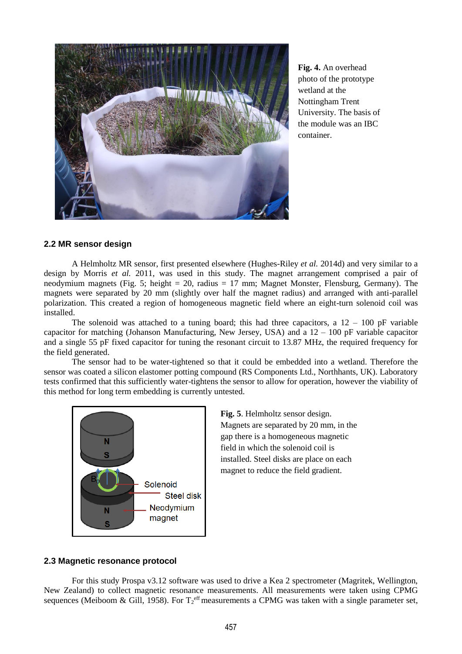

**Fig. 4.** An overhead photo of the prototype wetland at the Nottingham Trent University. The basis of the module was an IBC container.

# **2.2 MR sensor design**

A Helmholtz MR sensor, first presented elsewhere (Hughes-Riley *et al.* 2014d) and very similar to a design by Morris *et al.* 2011, was used in this study. The magnet arrangement comprised a pair of neodymium magnets (Fig. 5; height  $= 20$ , radius  $= 17$  mm; Magnet Monster, Flensburg, Germany). The magnets were separated by 20 mm (slightly over half the magnet radius) and arranged with anti-parallel polarization. This created a region of homogeneous magnetic field where an eight-turn solenoid coil was installed.

The solenoid was attached to a tuning board; this had three capacitors, a  $12 - 100$  pF variable capacitor for matching (Johanson Manufacturing, New Jersey, USA) and a 12 – 100 pF variable capacitor and a single 55 pF fixed capacitor for tuning the resonant circuit to 13.87 MHz, the required frequency for the field generated.

The sensor had to be water-tightened so that it could be embedded into a wetland. Therefore the sensor was coated a silicon elastomer potting compound (RS Components Ltd., Northhants, UK). Laboratory tests confirmed that this sufficiently water-tightens the sensor to allow for operation, however the viability of this method for long term embedding is currently untested.



**Fig. 5**. Helmholtz sensor design. Magnets are separated by 20 mm, in the gap there is a homogeneous magnetic field in which the solenoid coil is installed. Steel disks are place on each magnet to reduce the field gradient.

## **2.3 Magnetic resonance protocol**

For this study Prospa v3.12 software was used to drive a Kea 2 spectrometer (Magritek, Wellington, New Zealand) to collect magnetic resonance measurements. All measurements were taken using CPMG sequences (Meiboom & Gill, 1958). For  $T_2^{\text{eff}}$  measurements a CPMG was taken with a single parameter set,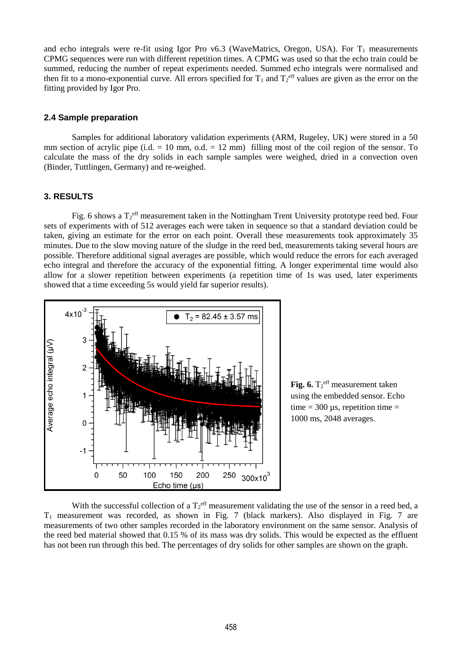and echo integrals were re-fit using Igor Pro  $v6.3$  (WaveMatrics, Oregon, USA). For  $T_1$  measurements CPMG sequences were run with different repetition times. A CPMG was used so that the echo train could be summed, reducing the number of repeat experiments needed. Summed echo integrals were normalised and then fit to a mono-exponential curve. All errors specified for  $T_1$  and  $T_2^{\text{eff}}$  values are given as the error on the fitting provided by Igor Pro.

### **2.4 Sample preparation**

Samples for additional laboratory validation experiments (ARM, Rugeley, UK) were stored in a 50 mm section of acrylic pipe  $(i.d. = 10 \text{ mm}, o.d. = 12 \text{ mm})$  filling most of the coil region of the sensor. To calculate the mass of the dry solids in each sample samples were weighed, dried in a convection oven (Binder, Tuttlingen, Germany) and re-weighed.

### **3. RESULTS**

Fig. 6 shows a  $T_2^{\text{eff}}$  measurement taken in the Nottingham Trent University prototype reed bed. Four sets of experiments with of 512 averages each were taken in sequence so that a standard deviation could be taken, giving an estimate for the error on each point. Overall these measurements took approximately 35 minutes. Due to the slow moving nature of the sludge in the reed bed, measurements taking several hours are possible. Therefore additional signal averages are possible, which would reduce the errors for each averaged echo integral and therefore the accuracy of the exponential fitting. A longer experimental time would also allow for a slower repetition between experiments (a repetition time of 1s was used, later experiments showed that a time exceeding 5s would yield far superior results).



**Fig. 6.**  $T_2^{\text{eff}}$  measurement taken using the embedded sensor. Echo time  $=$  300  $\mu$ s, repetition time  $=$ 1000 ms, 2048 averages.

With the successful collection of a  $T_2^{\text{eff}}$  measurement validating the use of the sensor in a reed bed, a  $T_1$  measurement was recorded, as shown in Fig. 7 (black markers). Also displayed in Fig. 7 are measurements of two other samples recorded in the laboratory environment on the same sensor. Analysis of the reed bed material showed that 0.15 % of its mass was dry solids. This would be expected as the effluent has not been run through this bed. The percentages of dry solids for other samples are shown on the graph.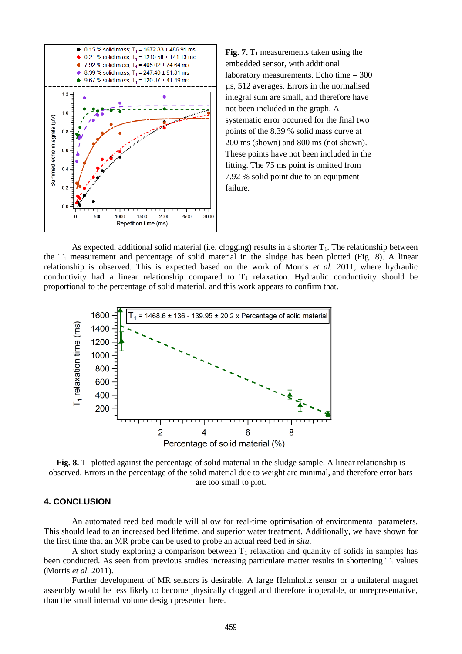

**Fig. 7.**  $T_1$  measurements taken using the embedded sensor, with additional laboratory measurements. Echo time  $= 300$ µs, 512 averages. Errors in the normalised integral sum are small, and therefore have not been included in the graph. A systematic error occurred for the final two points of the 8.39 % solid mass curve at 200 ms (shown) and 800 ms (not shown). These points have not been included in the fitting. The 75 ms point is omitted from 7.92 % solid point due to an equipment failure.

As expected, additional solid material (i.e. clogging) results in a shorter  $T_1$ . The relationship between the  $T_1$  measurement and percentage of solid material in the sludge has been plotted (Fig. 8). A linear relationship is observed. This is expected based on the work of Morris *et al.* 2011, where hydraulic conductivity had a linear relationship compared to  $T_1$  relaxation. Hydraulic conductivity should be proportional to the percentage of solid material, and this work appears to confirm that.



Fig. 8.  $T_1$  plotted against the percentage of solid material in the sludge sample. A linear relationship is observed. Errors in the percentage of the solid material due to weight are minimal, and therefore error bars are too small to plot.

# **4. CONCLUSION**

 An automated reed bed module will allow for real-time optimisation of environmental parameters. This should lead to an increased bed lifetime, and superior water treatment. Additionally, we have shown for the first time that an MR probe can be used to probe an actual reed bed *in situ*.

A short study exploring a comparison between  $T_1$  relaxation and quantity of solids in samples has been conducted. As seen from previous studies increasing particulate matter results in shortening  $T_1$  values (Morris *et al.* 2011).

 Further development of MR sensors is desirable. A large Helmholtz sensor or a unilateral magnet assembly would be less likely to become physically clogged and therefore inoperable, or unrepresentative, than the small internal volume design presented here.